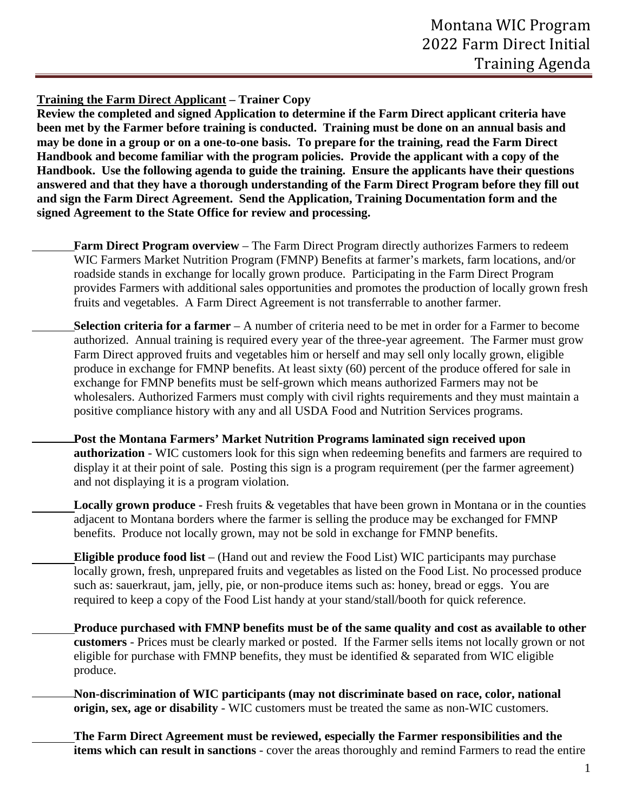**Training the Farm Direct Applicant – Trainer Copy** 

**Review the completed and signed Application to determine if the Farm Direct applicant criteria have been met by the Farmer before training is conducted. Training must be done on an annual basis and may be done in a group or on a one-to-one basis. To prepare for the training, read the Farm Direct Handbook and become familiar with the program policies. Provide the applicant with a copy of the Handbook. Use the following agenda to guide the training. Ensure the applicants have their questions answered and that they have a thorough understanding of the Farm Direct Program before they fill out and sign the Farm Direct Agreement. Send the Application, Training Documentation form and the signed Agreement to the State Office for review and processing.** 

- **Farm Direct Program overview** The Farm Direct Program directly authorizes Farmers to redeem WIC Farmers Market Nutrition Program (FMNP) Benefits at farmer's markets, farm locations, and/or roadside stands in exchange for locally grown produce. Participating in the Farm Direct Program provides Farmers with additional sales opportunities and promotes the production of locally grown fresh fruits and vegetables. A Farm Direct Agreement is not transferrable to another farmer.
- **Selection criteria for a farmer** A number of criteria need to be met in order for a Farmer to become authorized. Annual training is required every year of the three-year agreement. The Farmer must grow Farm Direct approved fruits and vegetables him or herself and may sell only locally grown, eligible produce in exchange for FMNP benefits. At least sixty (60) percent of the produce offered for sale in exchange for FMNP benefits must be self-grown which means authorized Farmers may not be wholesalers. Authorized Farmers must comply with civil rights requirements and they must maintain a positive compliance history with any and all USDA Food and Nutrition Services programs.
	- **Post the Montana Farmers' Market Nutrition Programs laminated sign received upon authorization** - WIC customers look for this sign when redeeming benefits and farmers are required to display it at their point of sale. Posting this sign is a program requirement (per the farmer agreement) and not displaying it is a program violation.
		- **Locally grown produce** Fresh fruits & vegetables that have been grown in Montana or in the counties adjacent to Montana borders where the farmer is selling the produce may be exchanged for FMNP benefits. Produce not locally grown, may not be sold in exchange for FMNP benefits.
- **Eligible produce food list** (Hand out and review the Food List) WIC participants may purchase locally grown, fresh, unprepared fruits and vegetables as listed on the Food List. No processed produce such as: sauerkraut, jam, jelly, pie, or non-produce items such as: honey, bread or eggs. You are required to keep a copy of the Food List handy at your stand/stall/booth for quick reference.
	- **Produce purchased with FMNP benefits must be of the same quality and cost as available to other customers** - Prices must be clearly marked or posted. If the Farmer sells items not locally grown or not eligible for purchase with FMNP benefits, they must be identified  $\&$  separated from WIC eligible produce.
- **Non-discrimination of WIC participants (may not discriminate based on race, color, national origin, sex, age or disability** - WIC customers must be treated the same as non-WIC customers.
	- **The Farm Direct Agreement must be reviewed, especially the Farmer responsibilities and the items which can result in sanctions** - cover the areas thoroughly and remind Farmers to read the entire